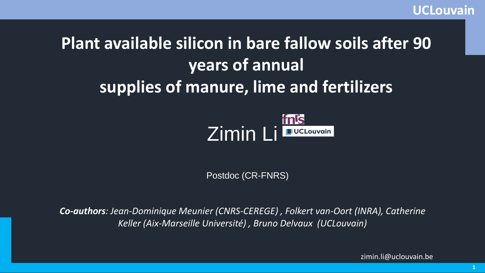# **Plant available silicon in bare fallow soils after 90 years of annual supplies of manure, lime and fertilizers**



Postdoc (CR-FNRS)

*Co-authors: Jean-Dominique Meunier (CNRS-CEREGE) , Folkert van-Oort (INRA), Catherine Keller (Aix-Marseille Université) , Bruno Delvaux (UCLouvain)*

zimin.li@uclouvain.be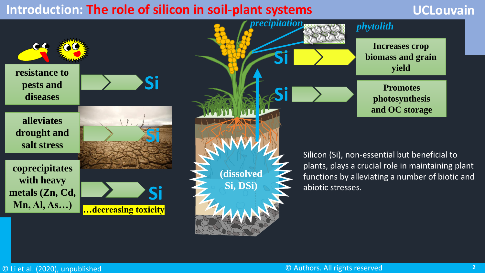#### **Introduction: The role of silicon in soil-plant systems**

#### **UCLouvain**

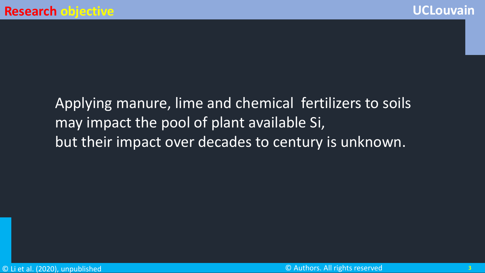## Applying manure, lime and chemical fertilizers to soils may impact the pool of plant available Si, but their impact over decades to century is unknown.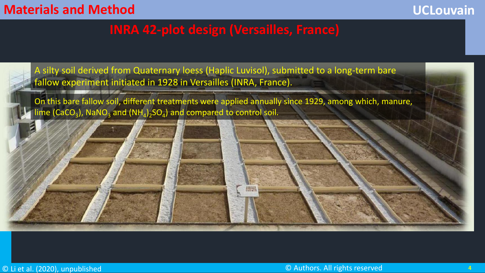#### **Materials and Method**

#### **UCLouvain**

#### **INRA 42-plot design (Versailles, France)**

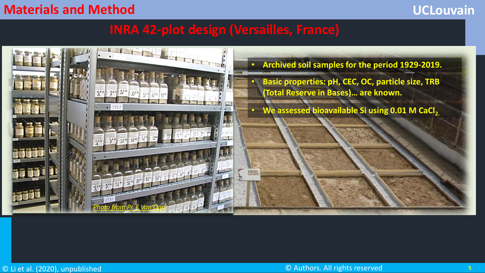#### **Materials and Method**

#### **UCLouvain**

### **INRA 42-plot design (Versailles, France)**

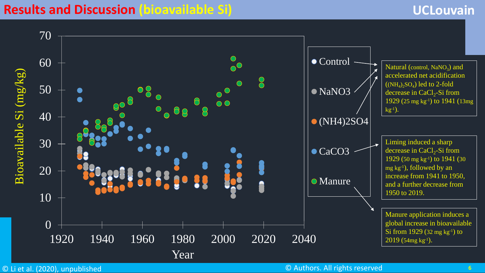#### **Results and Discussion (bioavailable Si)**

#### **UCLouvain**

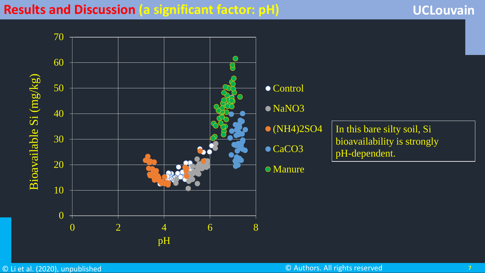#### **Results and Discussion (a significant factor: pH)**

#### **UCLouvain**

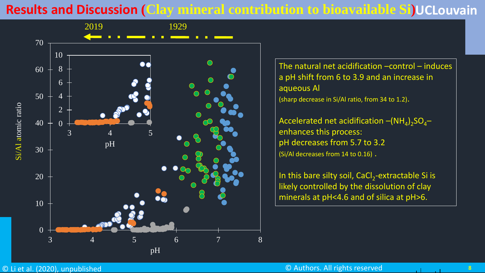### **Results and Discussion (Clay mineral contribution to bioavailable Si) UCLouvain**



The natural net acidification –control – induces a pH shift from 6 to 3.9 and an increase in aqueous Al (sharp decrease in Si/Al ratio, from 34 to 1.2).

Accelerated net acidification  $-{\sf (NH}_{4})_{2}{\sf SO}_{4}$ enhances this process: pH decreases from 5.7 to 3.2 (Si/Al decreases from 14 to 0.16) .

In this bare silty soil, CaCl<sub>2</sub>-extractable Si is likely controlled by the dissolution of clay minerals at pH<4.6 and of silica at pH>6.

المرتبط المراد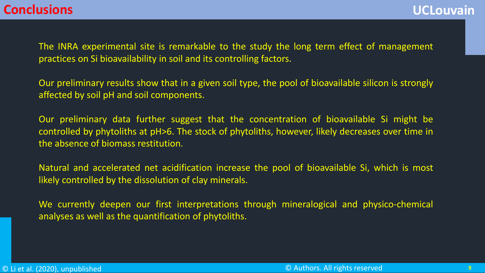The INRA experimental site is remarkable to the study the long term effect of management practices on Si bioavailability in soil and its controlling factors.

Our preliminary results show that in a given soil type, the pool of bioavailable silicon is strongly affected by soil pH and soil components.

Our preliminary data further suggest that the concentration of bioavailable Si might be controlled by phytoliths at pH>6. The stock of phytoliths, however, likely decreases over time in the absence of biomass restitution.

Natural and accelerated net acidification increase the pool of bioavailable Si, which is most likely controlled by the dissolution of clay minerals.

We currently deepen our first interpretations through mineralogical and physico-chemical analyses as well as the quantification of phytoliths.